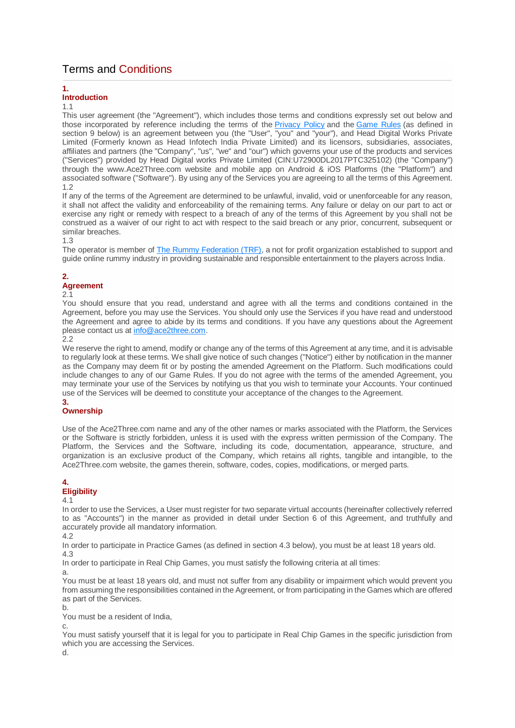# Terms and Conditions

## **1.**

## **Introduction**

## 1.1

This user agreement (the "Agreement"), which includes those terms and conditions expressly set out below and those incorporated by reference including the terms of the [Privacy Policy](https://www.ace2three.com/privacypolicy.html) and the [Game Rules](https://www.ace2three.com/rules.html) (as defined in section 9 below) is an agreement between you (the "User", "you" and "your"), and Head Digital Works Private Limited (Formerly known as Head Infotech India Private Limited) and its licensors, subsidiaries, associates, affiliates and partners (the "Company", "us", "we" and "our") which governs your use of the products and services ("Services") provided by Head Digital works Private Limited (CIN:U72900DL2017PTC325102) (the "Company") through the www.Ace2Three.com website and mobile app on Android & iOS Platforms (the "Platform") and associated software ("Software"). By using any of the Services you are agreeing to all the terms of this Agreement. 1.2

If any of the terms of the Agreement are determined to be unlawful, invalid, void or unenforceable for any reason, it shall not affect the validity and enforceability of the remaining terms. Any failure or delay on our part to act or exercise any right or remedy with respect to a breach of any of the terms of this Agreement by you shall not be construed as a waiver of our right to act with respect to the said breach or any prior, concurrent, subsequent or similar breaches.

## 1.3

The operator is member of [The Rummy Federation \(TRF\),](http://trf.org.in/) a not for profit organization established to support and guide online rummy industry in providing sustainable and responsible entertainment to the players across India.

# **2.**

# **Agreement**

## 2.1

You should ensure that you read, understand and agree with all the terms and conditions contained in the Agreement, before you may use the Services. You should only use the Services if you have read and understood the Agreement and agree to abide by its terms and conditions. If you have any questions about the Agreement please contact us at [info@ace2three.com.](mailto:info@ace2three.com)

2.2

We reserve the right to amend, modify or change any of the terms of this Agreement at any time, and it is advisable to regularly look at these terms. We shall give notice of such changes ("Notice") either by notification in the manner as the Company may deem fit or by posting the amended Agreement on the Platform. Such modifications could include changes to any of our Game Rules. If you do not agree with the terms of the amended Agreement, you may terminate your use of the Services by notifying us that you wish to terminate your Accounts. Your continued use of the Services will be deemed to constitute your acceptance of the changes to the Agreement. **3.**

# **Ownership**

Use of the Ace2Three.com name and any of the other names or marks associated with the Platform, the Services or the Software is strictly forbidden, unless it is used with the express written permission of the Company. The Platform, the Services and the Software, including its code, documentation, appearance, structure, and organization is an exclusive product of the Company, which retains all rights, tangible and intangible, to the Ace2Three.com website, the games therein, software, codes, copies, modifications, or merged parts.

# **4.**

## **Eligibility** 4.1

In order to use the Services, a User must register for two separate virtual accounts (hereinafter collectively referred to as "Accounts") in the manner as provided in detail under Section 6 of this Agreement, and truthfully and accurately provide all mandatory information.

4.2

In order to participate in Practice Games (as defined in section 4.3 below), you must be at least 18 years old. 4.3

In order to participate in Real Chip Games, you must satisfy the following criteria at all times:

a.

You must be at least 18 years old, and must not suffer from any disability or impairment which would prevent you from assuming the responsibilities contained in the Agreement, or from participating in the Games which are offered as part of the Services.

b.

You must be a resident of India,

c.

You must satisfy yourself that it is legal for you to participate in Real Chip Games in the specific jurisdiction from which you are accessing the Services.

d.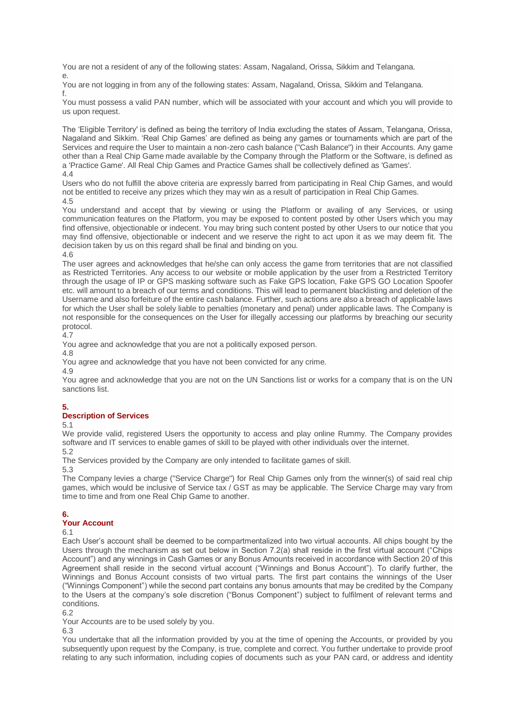You are not a resident of any of the following states: Assam, Nagaland, Orissa, Sikkim and Telangana. e.

You are not logging in from any of the following states: Assam, Nagaland, Orissa, Sikkim and Telangana. f.

You must possess a valid PAN number, which will be associated with your account and which you will provide to us upon request.

The 'Eligible Territory' is defined as being the territory of India excluding the states of Assam, Telangana, Orissa, Nagaland and Sikkim. 'Real Chip Games' are defined as being any games or tournaments which are part of the Services and require the User to maintain a non-zero cash balance ("Cash Balance") in their Accounts. Any game other than a Real Chip Game made available by the Company through the Platform or the Software, is defined as a 'Practice Game'. All Real Chip Games and Practice Games shall be collectively defined as 'Games'. 4.4

Users who do not fulfill the above criteria are expressly barred from participating in Real Chip Games, and would not be entitled to receive any prizes which they may win as a result of participation in Real Chip Games. 4.5

You understand and accept that by viewing or using the Platform or availing of any Services, or using communication features on the Platform, you may be exposed to content posted by other Users which you may find offensive, objectionable or indecent. You may bring such content posted by other Users to our notice that you may find offensive, objectionable or indecent and we reserve the right to act upon it as we may deem fit. The decision taken by us on this regard shall be final and binding on you.

4.6

The user agrees and acknowledges that he/she can only access the game from territories that are not classified as Restricted Territories. Any access to our website or mobile application by the user from a Restricted Territory through the usage of IP or GPS masking software such as Fake GPS location, Fake GPS GO Location Spoofer etc. will amount to a breach of our terms and conditions. This will lead to permanent blacklisting and deletion of the Username and also forfeiture of the entire cash balance. Further, such actions are also a breach of applicable laws for which the User shall be solely liable to penalties (monetary and penal) under applicable laws. The Company is not responsible for the consequences on the User for illegally accessing our platforms by breaching our security protocol.

 $4.7$ 

You agree and acknowledge that you are not a politically exposed person.

4.8

You agree and acknowledge that you have not been convicted for any crime.

4.9

You agree and acknowledge that you are not on the UN Sanctions list or works for a company that is on the UN sanctions list.

# **5.**

# **Description of Services**

5.1

We provide valid, registered Users the opportunity to access and play online Rummy. The Company provides software and IT services to enable games of skill to be played with other individuals over the internet.

5.2

The Services provided by the Company are only intended to facilitate games of skill.

5.3

The Company levies a charge ("Service Charge") for Real Chip Games only from the winner(s) of said real chip games, which would be inclusive of Service tax / GST as may be applicable. The Service Charge may vary from time to time and from one Real Chip Game to another.

# **6.**

## **Your Account**

6.1

Each User's account shall be deemed to be compartmentalized into two virtual accounts. All chips bought by the Users through the mechanism as set out below in Section 7.2(a) shall reside in the first virtual account ("Chips Account") and any winnings in Cash Games or any Bonus Amounts received in accordance with Section 20 of this Agreement shall reside in the second virtual account ("Winnings and Bonus Account"). To clarify further, the Winnings and Bonus Account consists of two virtual parts. The first part contains the winnings of the User ("Winnings Component") while the second part contains any bonus amounts that may be credited by the Company to the Users at the company's sole discretion ("Bonus Component") subject to fulfilment of relevant terms and conditions.

6.2

Your Accounts are to be used solely by you.

6.3

You undertake that all the information provided by you at the time of opening the Accounts, or provided by you subsequently upon request by the Company, is true, complete and correct. You further undertake to provide proof relating to any such information, including copies of documents such as your PAN card, or address and identity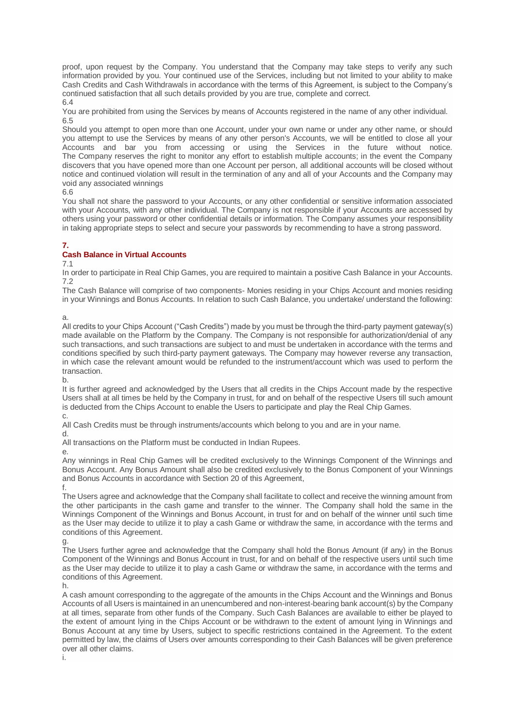proof, upon request by the Company. You understand that the Company may take steps to verify any such information provided by you. Your continued use of the Services, including but not limited to your ability to make Cash Credits and Cash Withdrawals in accordance with the terms of this Agreement, is subject to the Company's continued satisfaction that all such details provided by you are true, complete and correct.

6.4

You are prohibited from using the Services by means of Accounts registered in the name of any other individual. 6.5

Should you attempt to open more than one Account, under your own name or under any other name, or should you attempt to use the Services by means of any other person's Accounts, we will be entitled to close all your Accounts and bar you from accessing or using the Services in the future without notice. The Company reserves the right to monitor any effort to establish multiple accounts; in the event the Company discovers that you have opened more than one Account per person, all additional accounts will be closed without notice and continued violation will result in the termination of any and all of your Accounts and the Company may void any associated winnings

6.6

You shall not share the password to your Accounts, or any other confidential or sensitive information associated with your Accounts, with any other individual. The Company is not responsible if your Accounts are accessed by others using your password or other confidential details or information. The Company assumes your responsibility in taking appropriate steps to select and secure your passwords by recommending to have a strong password.

# **7.**

## **Cash Balance in Virtual Accounts**

7.1

In order to participate in Real Chip Games, you are required to maintain a positive Cash Balance in your Accounts. 7.2

The Cash Balance will comprise of two components- Monies residing in your Chips Account and monies residing in your Winnings and Bonus Accounts. In relation to such Cash Balance, you undertake/ understand the following:

a.

All credits to your Chips Account ("Cash Credits") made by you must be through the third-party payment gateway(s) made available on the Platform by the Company. The Company is not responsible for authorization/denial of any such transactions, and such transactions are subject to and must be undertaken in accordance with the terms and conditions specified by such third-party payment gateways. The Company may however reverse any transaction, in which case the relevant amount would be refunded to the instrument/account which was used to perform the transaction.

b.

It is further agreed and acknowledged by the Users that all credits in the Chips Account made by the respective Users shall at all times be held by the Company in trust, for and on behalf of the respective Users till such amount is deducted from the Chips Account to enable the Users to participate and play the Real Chip Games.

c.

All Cash Credits must be through instruments/accounts which belong to you and are in your name.

d.

All transactions on the Platform must be conducted in Indian Rupees.

e.

Any winnings in Real Chip Games will be credited exclusively to the Winnings Component of the Winnings and Bonus Account. Any Bonus Amount shall also be credited exclusively to the Bonus Component of your Winnings and Bonus Accounts in accordance with Section 20 of this Agreement,

f.

The Users agree and acknowledge that the Company shall facilitate to collect and receive the winning amount from the other participants in the cash game and transfer to the winner. The Company shall hold the same in the Winnings Component of the Winnings and Bonus Account, in trust for and on behalf of the winner until such time as the User may decide to utilize it to play a cash Game or withdraw the same, in accordance with the terms and conditions of this Agreement.

g.

The Users further agree and acknowledge that the Company shall hold the Bonus Amount (if any) in the Bonus Component of the Winnings and Bonus Account in trust, for and on behalf of the respective users until such time as the User may decide to utilize it to play a cash Game or withdraw the same, in accordance with the terms and conditions of this Agreement.

h.

A cash amount corresponding to the aggregate of the amounts in the Chips Account and the Winnings and Bonus Accounts of all Users is maintained in an unencumbered and non-interest-bearing bank account(s) by the Company at all times, separate from other funds of the Company. Such Cash Balances are available to either be played to the extent of amount lying in the Chips Account or be withdrawn to the extent of amount lying in Winnings and Bonus Account at any time by Users, subject to specific restrictions contained in the Agreement. To the extent permitted by law, the claims of Users over amounts corresponding to their Cash Balances will be given preference over all other claims.

i.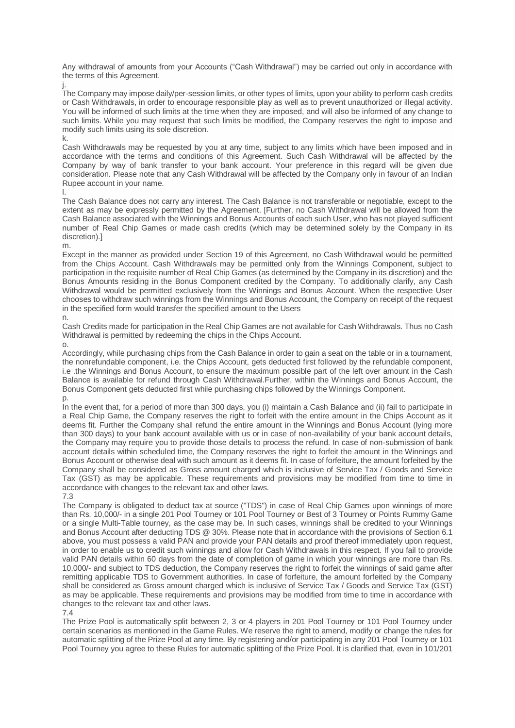Any withdrawal of amounts from your Accounts ("Cash Withdrawal") may be carried out only in accordance with the terms of this Agreement.

j.

The Company may impose daily/per-session limits, or other types of limits, upon your ability to perform cash credits or Cash Withdrawals, in order to encourage responsible play as well as to prevent unauthorized or illegal activity. You will be informed of such limits at the time when they are imposed, and will also be informed of any change to such limits. While you may request that such limits be modified, the Company reserves the right to impose and modify such limits using its sole discretion.

k.

Cash Withdrawals may be requested by you at any time, subject to any limits which have been imposed and in accordance with the terms and conditions of this Agreement. Such Cash Withdrawal will be affected by the Company by way of bank transfer to your bank account. Your preference in this regard will be given due consideration. Please note that any Cash Withdrawal will be affected by the Company only in favour of an Indian Rupee account in your name.

l.

The Cash Balance does not carry any interest. The Cash Balance is not transferable or negotiable, except to the extent as may be expressly permitted by the Agreement. [Further, no Cash Withdrawal will be allowed from the Cash Balance associated with the Winnings and Bonus Accounts of each such User, who has not played sufficient number of Real Chip Games or made cash credits (which may be determined solely by the Company in its discretion).]

m.

Except in the manner as provided under Section 19 of this Agreement, no Cash Withdrawal would be permitted from the Chips Account. Cash Withdrawals may be permitted only from the Winnings Component, subject to participation in the requisite number of Real Chip Games (as determined by the Company in its discretion) and the Bonus Amounts residing in the Bonus Component credited by the Company. To additionally clarify, any Cash Withdrawal would be permitted exclusively from the Winnings and Bonus Account. When the respective User chooses to withdraw such winnings from the Winnings and Bonus Account, the Company on receipt of the request in the specified form would transfer the specified amount to the Users

## n.

Cash Credits made for participation in the Real Chip Games are not available for Cash Withdrawals. Thus no Cash Withdrawal is permitted by redeeming the chips in the Chips Account.

o.

Accordingly, while purchasing chips from the Cash Balance in order to gain a seat on the table or in a tournament, the nonrefundable component, i.e. the Chips Account, gets deducted first followed by the refundable component, i.e .the Winnings and Bonus Account, to ensure the maximum possible part of the left over amount in the Cash Balance is available for refund through Cash Withdrawal.Further, within the Winnings and Bonus Account, the Bonus Component gets deducted first while purchasing chips followed by the Winnings Component. p.

In the event that, for a period of more than 300 days, you (i) maintain a Cash Balance and (ii) fail to participate in a Real Chip Game, the Company reserves the right to forfeit with the entire amount in the Chips Account as it deems fit. Further the Company shall refund the entire amount in the Winnings and Bonus Account (lying more than 300 days) to your bank account available with us or in case of non-availability of your bank account details, the Company may require you to provide those details to process the refund. In case of non-submission of bank account details within scheduled time, the Company reserves the right to forfeit the amount in the Winnings and Bonus Account or otherwise deal with such amount as it deems fit. In case of forfeiture, the amount forfeited by the Company shall be considered as Gross amount charged which is inclusive of Service Tax / Goods and Service Tax (GST) as may be applicable. These requirements and provisions may be modified from time to time in accordance with changes to the relevant tax and other laws.

7.3

The Company is obligated to deduct tax at source ("TDS") in case of Real Chip Games upon winnings of more than Rs. 10,000/- in a single 201 Pool Tourney or 101 Pool Tourney or Best of 3 Tourney or Points Rummy Game or a single Multi-Table tourney, as the case may be. In such cases, winnings shall be credited to your Winnings and Bonus Account after deducting TDS @ 30%. Please note that in accordance with the provisions of Section 6.1 above, you must possess a valid PAN and provide your PAN details and proof thereof immediately upon request, in order to enable us to credit such winnings and allow for Cash Withdrawals in this respect. If you fail to provide valid PAN details within 60 days from the date of completion of game in which your winnings are more than Rs. 10,000/- and subject to TDS deduction, the Company reserves the right to forfeit the winnings of said game after remitting applicable TDS to Government authorities. In case of forfeiture, the amount forfeited by the Company shall be considered as Gross amount charged which is inclusive of Service Tax / Goods and Service Tax (GST) as may be applicable. These requirements and provisions may be modified from time to time in accordance with changes to the relevant tax and other laws.

7.4

The Prize Pool is automatically split between 2, 3 or 4 players in 201 Pool Tourney or 101 Pool Tourney under certain scenarios as mentioned in the Game Rules. We reserve the right to amend, modify or change the rules for automatic splitting of the Prize Pool at any time. By registering and/or participating in any 201 Pool Tourney or 101 Pool Tourney you agree to these Rules for automatic splitting of the Prize Pool. It is clarified that, even in 101/201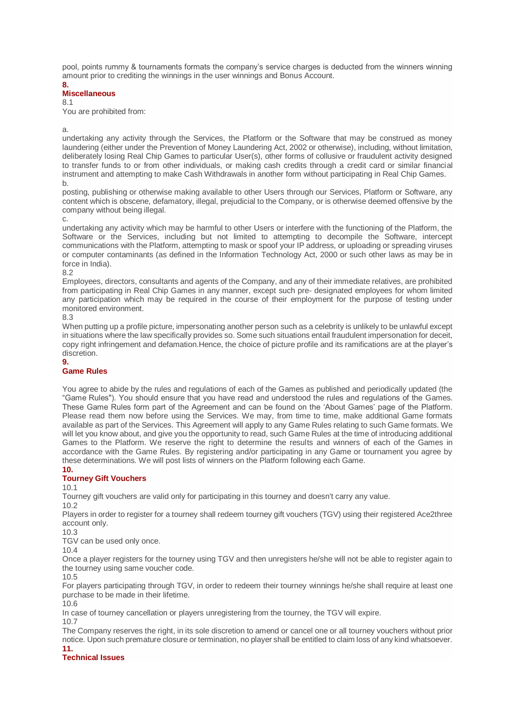pool, points rummy & tournaments formats the company's service charges is deducted from the winners winning amount prior to crediting the winnings in the user winnings and Bonus Account.

**8.**

## **Miscellaneous**

8.1

You are prohibited from:

a.

undertaking any activity through the Services, the Platform or the Software that may be construed as money laundering (either under the Prevention of Money Laundering Act, 2002 or otherwise), including, without limitation, deliberately losing Real Chip Games to particular User(s), other forms of collusive or fraudulent activity designed to transfer funds to or from other individuals, or making cash credits through a credit card or similar financial instrument and attempting to make Cash Withdrawals in another form without participating in Real Chip Games. b.

posting, publishing or otherwise making available to other Users through our Services, Platform or Software, any content which is obscene, defamatory, illegal, prejudicial to the Company, or is otherwise deemed offensive by the company without being illegal.

c.

undertaking any activity which may be harmful to other Users or interfere with the functioning of the Platform, the Software or the Services, including but not limited to attempting to decompile the Software, intercept communications with the Platform, attempting to mask or spoof your IP address, or uploading or spreading viruses or computer contaminants (as defined in the Information Technology Act, 2000 or such other laws as may be in force in India).

8.2

Employees, directors, consultants and agents of the Company, and any of their immediate relatives, are prohibited from participating in Real Chip Games in any manner, except such pre- designated employees for whom limited any participation which may be required in the course of their employment for the purpose of testing under monitored environment.

8.3

When putting up a profile picture, impersonating another person such as a celebrity is unlikely to be unlawful except in situations where the law specifically provides so. Some such situations entail fraudulent impersonation for deceit, copy right infringement and defamation.Hence, the choice of picture profile and its ramifications are at the player's discretion.

## **9.**

## **Game Rules**

You agree to abide by the rules and regulations of each of the Games as published and periodically updated (the "Game Rules"). You should ensure that you have read and understood the rules and regulations of the Games. These Game Rules form part of the Agreement and can be found on the 'About Games' page of the Platform. Please read them now before using the Services. We may, from time to time, make additional Game formats available as part of the Services. This Agreement will apply to any Game Rules relating to such Game formats. We will let you know about, and give you the opportunity to read, such Game Rules at the time of introducing additional Games to the Platform. We reserve the right to determine the results and winners of each of the Games in accordance with the Game Rules. By registering and/or participating in any Game or tournament you agree by these determinations. We will post lists of winners on the Platform following each Game.

## **10.**

## **Tourney Gift Vouchers**

10.1

Tourney gift vouchers are valid only for participating in this tourney and doesn't carry any value.

10.2

Players in order to register for a tourney shall redeem tourney gift vouchers (TGV) using their registered Ace2three account only.

10.3

TGV can be used only once.

10.4

Once a player registers for the tourney using TGV and then unregisters he/she will not be able to register again to the tourney using same voucher code.

10.5

For players participating through TGV, in order to redeem their tourney winnings he/she shall require at least one purchase to be made in their lifetime.

10.6 In case of tourney cancellation or players unregistering from the tourney, the TGV will expire.

10.7

The Company reserves the right, in its sole discretion to amend or cancel one or all tourney vouchers without prior notice. Upon such premature closure or termination, no player shall be entitled to claim loss of any kind whatsoever. **11.**

# **Technical Issues**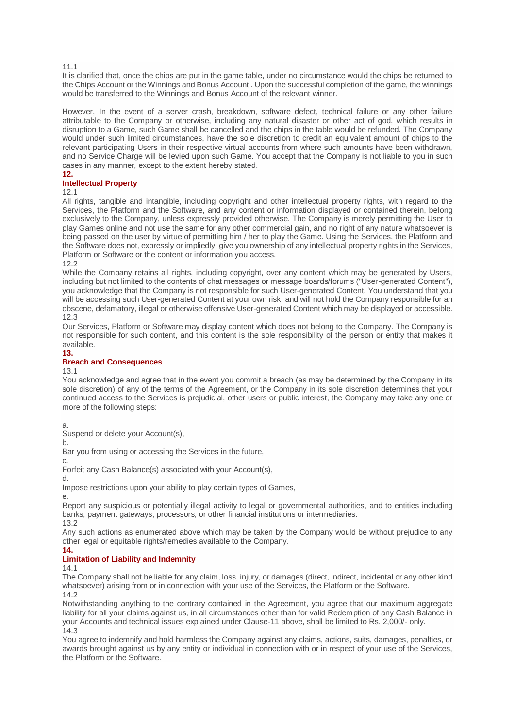## 11.1

It is clarified that, once the chips are put in the game table, under no circumstance would the chips be returned to the Chips Account or the Winnings and Bonus Account . Upon the successful completion of the game, the winnings would be transferred to the Winnings and Bonus Account of the relevant winner.

However, In the event of a server crash, breakdown, software defect, technical failure or any other failure attributable to the Company or otherwise, including any natural disaster or other act of god, which results in disruption to a Game, such Game shall be cancelled and the chips in the table would be refunded. The Company would under such limited circumstances, have the sole discretion to credit an equivalent amount of chips to the relevant participating Users in their respective virtual accounts from where such amounts have been withdrawn, and no Service Charge will be levied upon such Game. You accept that the Company is not liable to you in such cases in any manner, except to the extent hereby stated.

## **12.**

## **Intellectual Property**

12.1

All rights, tangible and intangible, including copyright and other intellectual property rights, with regard to the Services, the Platform and the Software, and any content or information displayed or contained therein, belong exclusively to the Company, unless expressly provided otherwise. The Company is merely permitting the User to play Games online and not use the same for any other commercial gain, and no right of any nature whatsoever is being passed on the user by virtue of permitting him / her to play the Game. Using the Services, the Platform and the Software does not, expressly or impliedly, give you ownership of any intellectual property rights in the Services, Platform or Software or the content or information you access.

12.2

While the Company retains all rights, including copyright, over any content which may be generated by Users, including but not limited to the contents of chat messages or message boards/forums ("User-generated Content"), you acknowledge that the Company is not responsible for such User-generated Content. You understand that you will be accessing such User-generated Content at your own risk, and will not hold the Company responsible for an obscene, defamatory, illegal or otherwise offensive User-generated Content which may be displayed or accessible. 12.3

Our Services, Platform or Software may display content which does not belong to the Company. The Company is not responsible for such content, and this content is the sole responsibility of the person or entity that makes it available.

# **13.**

## **Breach and Consequences**

13.1

You acknowledge and agree that in the event you commit a breach (as may be determined by the Company in its sole discretion) of any of the terms of the Agreement, or the Company in its sole discretion determines that your continued access to the Services is prejudicial, other users or public interest, the Company may take any one or more of the following steps:

a.

Suspend or delete your Account(s),

b.

Bar you from using or accessing the Services in the future,

c.

Forfeit any Cash Balance(s) associated with your Account(s),

d.

Impose restrictions upon your ability to play certain types of Games,

e.

Report any suspicious or potentially illegal activity to legal or governmental authorities, and to entities including banks, payment gateways, processors, or other financial institutions or intermediaries.

13.2

Any such actions as enumerated above which may be taken by the Company would be without prejudice to any other legal or equitable rights/remedies available to the Company.

#### **14. Limitation of Liability and Indemnity**

14.1

The Company shall not be liable for any claim, loss, injury, or damages (direct, indirect, incidental or any other kind whatsoever) arising from or in connection with your use of the Services, the Platform or the Software.  $14.2$ 

Notwithstanding anything to the contrary contained in the Agreement, you agree that our maximum aggregate liability for all your claims against us, in all circumstances other than for valid Redemption of any Cash Balance in your Accounts and technical issues explained under Clause-11 above, shall be limited to Rs. 2,000/- only. 14.3

You agree to indemnify and hold harmless the Company against any claims, actions, suits, damages, penalties, or awards brought against us by any entity or individual in connection with or in respect of your use of the Services, the Platform or the Software.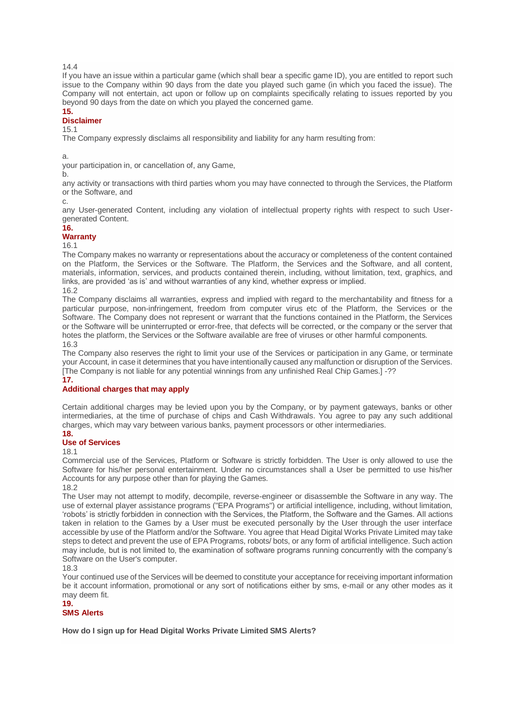14.4

If you have an issue within a particular game (which shall bear a specific game ID), you are entitled to report such issue to the Company within 90 days from the date you played such game (in which you faced the issue). The Company will not entertain, act upon or follow up on complaints specifically relating to issues reported by you beyond 90 days from the date on which you played the concerned game.

# **15.**

# **Disclaimer**

15.1

The Company expressly disclaims all responsibility and liability for any harm resulting from:

a.

your participation in, or cancellation of, any Game,

b.

any activity or transactions with third parties whom you may have connected to through the Services, the Platform or the Software, and

c.

any User-generated Content, including any violation of intellectual property rights with respect to such Usergenerated Content.

## **16.**

## **Warranty**

16.1

The Company makes no warranty or representations about the accuracy or completeness of the content contained on the Platform, the Services or the Software. The Platform, the Services and the Software, and all content, materials, information, services, and products contained therein, including, without limitation, text, graphics, and links, are provided 'as is' and without warranties of any kind, whether express or implied. 16.2

The Company disclaims all warranties, express and implied with regard to the merchantability and fitness for a particular purpose, non-infringement, freedom from computer virus etc of the Platform, the Services or the Software. The Company does not represent or warrant that the functions contained in the Platform, the Services or the Software will be uninterrupted or error-free, that defects will be corrected, or the company or the server that hotes the platform, the Services or the Software available are free of viruses or other harmful components. 16.3

The Company also reserves the right to limit your use of the Services or participation in any Game, or terminate your Account, in case it determines that you have intentionally caused any malfunction or disruption of the Services. [The Company is not liable for any potential winnings from any unfinished Real Chip Games.] -?? **17.**

## **Additional charges that may apply**

Certain additional charges may be levied upon you by the Company, or by payment gateways, banks or other intermediaries, at the time of purchase of chips and Cash Withdrawals. You agree to pay any such additional charges, which may vary between various banks, payment processors or other intermediaries. **18.**

## **Use of Services**

18.1

Commercial use of the Services, Platform or Software is strictly forbidden. The User is only allowed to use the Software for his/her personal entertainment. Under no circumstances shall a User be permitted to use his/her Accounts for any purpose other than for playing the Games.

18.2

The User may not attempt to modify, decompile, reverse-engineer or disassemble the Software in any way. The use of external player assistance programs ("EPA Programs") or artificial intelligence, including, without limitation, 'robots' is strictly forbidden in connection with the Services, the Platform, the Software and the Games. All actions taken in relation to the Games by a User must be executed personally by the User through the user interface accessible by use of the Platform and/or the Software. You agree that Head Digital Works Private Limited may take steps to detect and prevent the use of EPA Programs, robots/ bots, or any form of artificial intelligence. Such action may include, but is not limited to, the examination of software programs running concurrently with the company's Software on the User's computer.

18.3

Your continued use of the Services will be deemed to constitute your acceptance for receiving important information be it account information, promotional or any sort of notifications either by sms, e-mail or any other modes as it may deem fit.

### **19. SMS Alerts**

**How do I sign up for Head Digital Works Private Limited SMS Alerts?**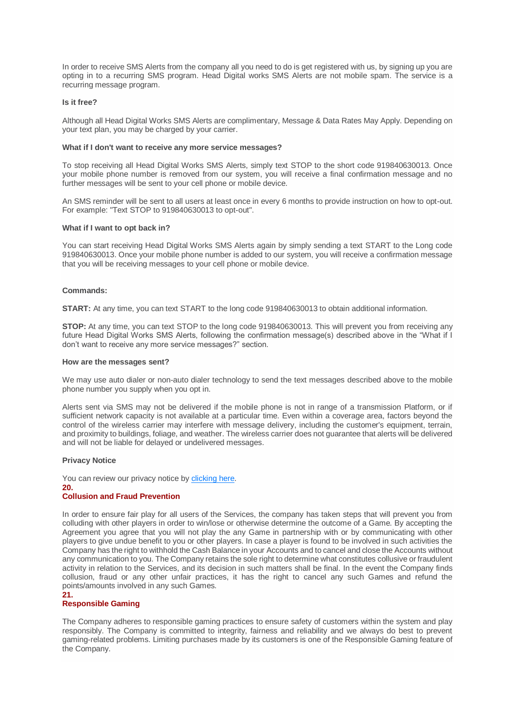In order to receive SMS Alerts from the company all you need to do is get registered with us, by signing up you are opting in to a recurring SMS program. Head Digital works SMS Alerts are not mobile spam. The service is a recurring message program.

## **Is it free?**

Although all Head Digital Works SMS Alerts are complimentary, Message & Data Rates May Apply. Depending on your text plan, you may be charged by your carrier.

## **What if I don't want to receive any more service messages?**

To stop receiving all Head Digital Works SMS Alerts, simply text STOP to the short code 919840630013. Once your mobile phone number is removed from our system, you will receive a final confirmation message and no further messages will be sent to your cell phone or mobile device.

An SMS reminder will be sent to all users at least once in every 6 months to provide instruction on how to opt-out. For example: "Text STOP to 919840630013 to opt-out".

## **What if I want to opt back in?**

You can start receiving Head Digital Works SMS Alerts again by simply sending a text START to the Long code 919840630013. Once your mobile phone number is added to our system, you will receive a confirmation message that you will be receiving messages to your cell phone or mobile device.

## **Commands:**

**START:** At any time, you can text START to the long code 919840630013 to obtain additional information.

**STOP:** At any time, you can text STOP to the long code 919840630013. This will prevent you from receiving any future Head Digital Works SMS Alerts, following the confirmation message(s) described above in the "What if I don't want to receive any more service messages?" section.

## **How are the messages sent?**

We may use auto dialer or non-auto dialer technology to send the text messages described above to the mobile phone number you supply when you opt in.

Alerts sent via SMS may not be delivered if the mobile phone is not in range of a transmission Platform, or if sufficient network capacity is not available at a particular time. Even within a coverage area, factors beyond the control of the wireless carrier may interfere with message delivery, including the customer's equipment, terrain, and proximity to buildings, foliage, and weather. The wireless carrier does not guarantee that alerts will be delivered and will not be liable for delayed or undelivered messages.

## **Privacy Notice**

You can review our privacy notice by [clicking here.](https://www.ace2three.com/privacypolicy.html) **20. Collusion and Fraud Prevention**

In order to ensure fair play for all users of the Services, the company has taken steps that will prevent you from colluding with other players in order to win/lose or otherwise determine the outcome of a Game. By accepting the Agreement you agree that you will not play the any Game in partnership with or by communicating with other players to give undue benefit to you or other players. In case a player is found to be involved in such activities the Company has the right to withhold the Cash Balance in your Accounts and to cancel and close the Accounts without any communication to you. The Company retains the sole right to determine what constitutes collusive or fraudulent activity in relation to the Services, and its decision in such matters shall be final. In the event the Company finds collusion, fraud or any other unfair practices, it has the right to cancel any such Games and refund the points/amounts involved in any such Games.

## **21. Responsible Gaming**

The Company adheres to responsible gaming practices to ensure safety of customers within the system and play responsibly. The Company is committed to integrity, fairness and reliability and we always do best to prevent gaming-related problems. Limiting purchases made by its customers is one of the Responsible Gaming feature of the Company.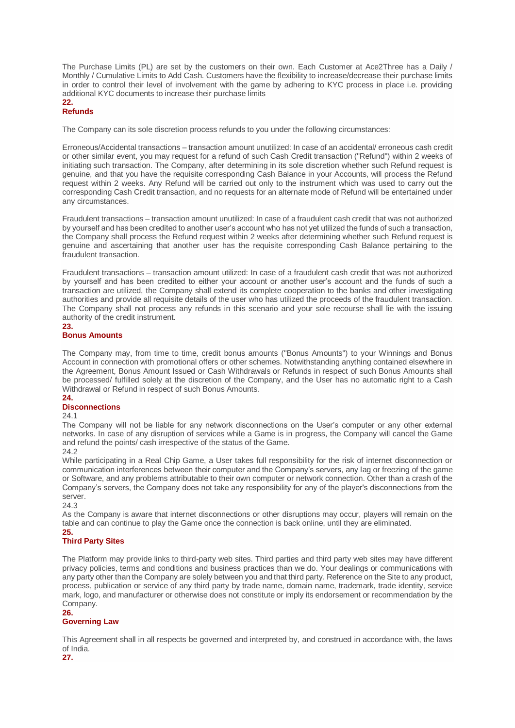The Purchase Limits (PL) are set by the customers on their own. Each Customer at Ace2Three has a Daily / Monthly / Cumulative Limits to Add Cash. Customers have the flexibility to increase/decrease their purchase limits in order to control their level of involvement with the game by adhering to KYC process in place i.e. providing additional KYC documents to increase their purchase limits

#### **22. Refunds**

The Company can its sole discretion process refunds to you under the following circumstances:

Erroneous/Accidental transactions – transaction amount unutilized: In case of an accidental/ erroneous cash credit or other similar event, you may request for a refund of such Cash Credit transaction ("Refund") within 2 weeks of initiating such transaction. The Company, after determining in its sole discretion whether such Refund request is genuine, and that you have the requisite corresponding Cash Balance in your Accounts, will process the Refund request within 2 weeks. Any Refund will be carried out only to the instrument which was used to carry out the corresponding Cash Credit transaction, and no requests for an alternate mode of Refund will be entertained under any circumstances.

Fraudulent transactions – transaction amount unutilized: In case of a fraudulent cash credit that was not authorized by yourself and has been credited to another user's account who has not yet utilized the funds of such a transaction, the Company shall process the Refund request within 2 weeks after determining whether such Refund request is genuine and ascertaining that another user has the requisite corresponding Cash Balance pertaining to the fraudulent transaction.

Fraudulent transactions – transaction amount utilized: In case of a fraudulent cash credit that was not authorized by yourself and has been credited to either your account or another user's account and the funds of such a transaction are utilized, the Company shall extend its complete cooperation to the banks and other investigating authorities and provide all requisite details of the user who has utilized the proceeds of the fraudulent transaction. The Company shall not process any refunds in this scenario and your sole recourse shall lie with the issuing authority of the credit instrument.

## **23.**

## **Bonus Amounts**

The Company may, from time to time, credit bonus amounts ("Bonus Amounts") to your Winnings and Bonus Account in connection with promotional offers or other schemes. Notwithstanding anything contained elsewhere in the Agreement, Bonus Amount Issued or Cash Withdrawals or Refunds in respect of such Bonus Amounts shall be processed/ fulfilled solely at the discretion of the Company, and the User has no automatic right to a Cash Withdrawal or Refund in respect of such Bonus Amounts.

#### **24. Disconnections**

24.1

The Company will not be liable for any network disconnections on the User's computer or any other external networks. In case of any disruption of services while a Game is in progress, the Company will cancel the Game and refund the points/ cash irrespective of the status of the Game.

## 24.2

While participating in a Real Chip Game, a User takes full responsibility for the risk of internet disconnection or communication interferences between their computer and the Company's servers, any lag or freezing of the game or Software, and any problems attributable to their own computer or network connection. Other than a crash of the Company's servers, the Company does not take any responsibility for any of the player's disconnections from the server.

## 24.3

As the Company is aware that internet disconnections or other disruptions may occur, players will remain on the table and can continue to play the Game once the connection is back online, until they are eliminated. **25.**

# **Third Party Sites**

The Platform may provide links to third-party web sites. Third parties and third party web sites may have different privacy policies, terms and conditions and business practices than we do. Your dealings or communications with any party other than the Company are solely between you and that third party. Reference on the Site to any product, process, publication or service of any third party by trade name, domain name, trademark, trade identity, service mark, logo, and manufacturer or otherwise does not constitute or imply its endorsement or recommendation by the Company.

## **26.**

## **Governing Law**

This Agreement shall in all respects be governed and interpreted by, and construed in accordance with, the laws of India.

**27.**